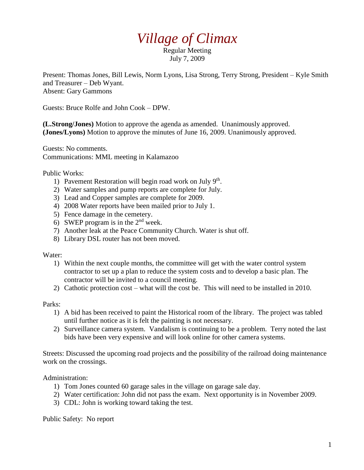## *Village of Climax*

Regular Meeting July 7, 2009

Present: Thomas Jones, Bill Lewis, Norm Lyons, Lisa Strong, Terry Strong, President – Kyle Smith and Treasurer – Deb Wyant. Absent: Gary Gammons

Guests: Bruce Rolfe and John Cook – DPW.

**(L.Strong/Jones)** Motion to approve the agenda as amended. Unanimously approved. **(Jones/Lyons)** Motion to approve the minutes of June 16, 2009. Unanimously approved.

Guests: No comments. Communications: MML meeting in Kalamazoo

Public Works:

- 1) Pavement Restoration will begin road work on July 9<sup>th</sup>.
- 2) Water samples and pump reports are complete for July.
- 3) Lead and Copper samples are complete for 2009.
- 4) 2008 Water reports have been mailed prior to July 1.
- 5) Fence damage in the cemetery.
- 6) SWEP program is in the  $2<sup>nd</sup>$  week.
- 7) Another leak at the Peace Community Church. Water is shut off.
- 8) Library DSL router has not been moved.

Water:

- 1) Within the next couple months, the committee will get with the water control system contractor to set up a plan to reduce the system costs and to develop a basic plan. The contractor will be invited to a council meeting.
- 2) Cathotic protection cost what will the cost be. This will need to be installed in 2010.

Parks:

- 1) A bid has been received to paint the Historical room of the library. The project was tabled until further notice as it is felt the painting is not necessary.
- 2) Surveillance camera system. Vandalism is continuing to be a problem. Terry noted the last bids have been very expensive and will look online for other camera systems.

Streets: Discussed the upcoming road projects and the possibility of the railroad doing maintenance work on the crossings.

Administration:

- 1) Tom Jones counted 60 garage sales in the village on garage sale day.
- 2) Water certification: John did not pass the exam. Next opportunity is in November 2009.
- 3) CDL: John is working toward taking the test.

Public Safety: No report